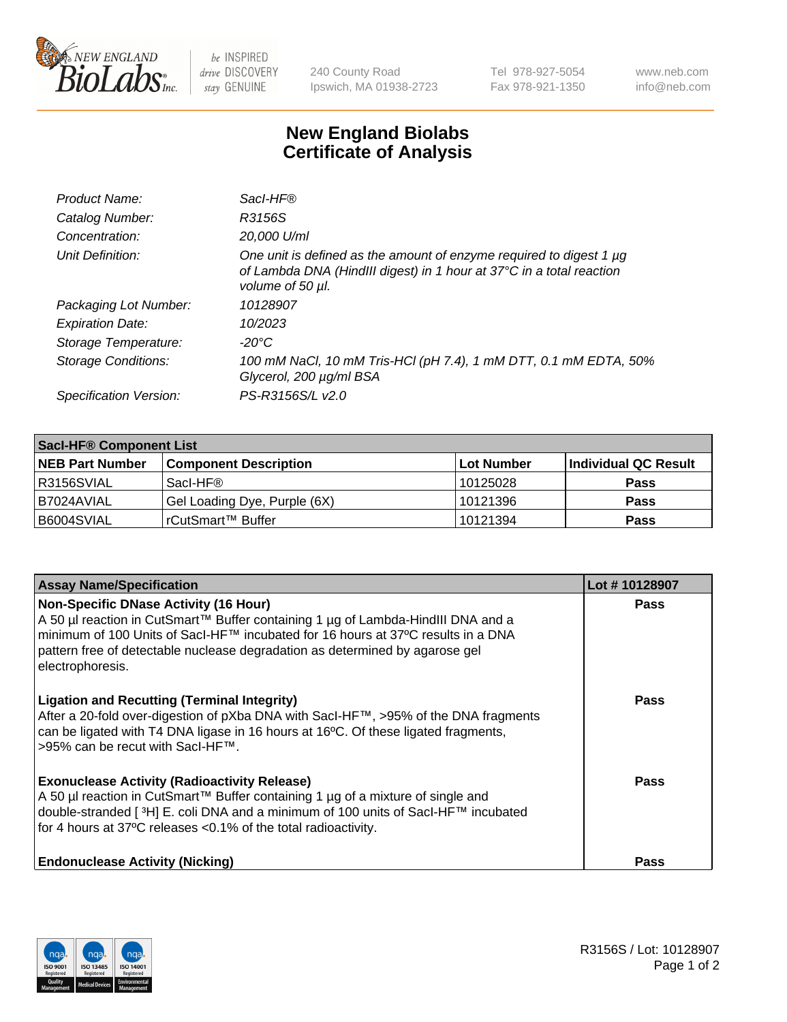

 $be$  INSPIRED drive DISCOVERY stay GENUINE

240 County Road Ipswich, MA 01938-2723 Tel 978-927-5054 Fax 978-921-1350 www.neb.com info@neb.com

## **New England Biolabs Certificate of Analysis**

| Product Name:              | Sacl-HF®                                                                                                                                                        |
|----------------------------|-----------------------------------------------------------------------------------------------------------------------------------------------------------------|
| Catalog Number:            | R3156S                                                                                                                                                          |
| Concentration:             | 20,000 U/ml                                                                                                                                                     |
| Unit Definition:           | One unit is defined as the amount of enzyme required to digest 1 µg<br>of Lambda DNA (HindIII digest) in 1 hour at 37°C in a total reaction<br>volume of 50 µl. |
| Packaging Lot Number:      | 10128907                                                                                                                                                        |
| <b>Expiration Date:</b>    | 10/2023                                                                                                                                                         |
| Storage Temperature:       | -20°C                                                                                                                                                           |
| <b>Storage Conditions:</b> | 100 mM NaCl, 10 mM Tris-HCl (pH 7.4), 1 mM DTT, 0.1 mM EDTA, 50%<br>Glycerol, 200 µg/ml BSA                                                                     |
| Specification Version:     | PS-R3156S/L v2.0                                                                                                                                                |

| <b>Saci-HF® Component List</b> |                              |             |                      |  |  |
|--------------------------------|------------------------------|-------------|----------------------|--|--|
| <b>NEB Part Number</b>         | <b>Component Description</b> | ∣Lot Number | Individual QC Result |  |  |
| R3156SVIAL                     | Sacl-HF®                     | 10125028    | <b>Pass</b>          |  |  |
| I B7024AVIAL                   | Gel Loading Dye, Purple (6X) | 10121396    | <b>Pass</b>          |  |  |
| B6004SVIAL                     | l rCutSmart™ Buffer_         | 10121394    | <b>Pass</b>          |  |  |

| <b>Assay Name/Specification</b>                                                                                                                                                                                                                                                                                          | Lot #10128907 |
|--------------------------------------------------------------------------------------------------------------------------------------------------------------------------------------------------------------------------------------------------------------------------------------------------------------------------|---------------|
| <b>Non-Specific DNase Activity (16 Hour)</b><br>A 50 µl reaction in CutSmart™ Buffer containing 1 µg of Lambda-HindIII DNA and a<br>minimum of 100 Units of Sacl-HF™ incubated for 16 hours at 37°C results in a DNA<br>pattern free of detectable nuclease degradation as determined by agarose gel<br>electrophoresis. | <b>Pass</b>   |
| <b>Ligation and Recutting (Terminal Integrity)</b><br>After a 20-fold over-digestion of pXba DNA with SacI-HF™, >95% of the DNA fragments<br>can be ligated with T4 DNA ligase in 16 hours at 16°C. Of these ligated fragments,<br>>95% can be recut with SacI-HF™.                                                      | <b>Pass</b>   |
| <b>Exonuclease Activity (Radioactivity Release)</b><br>A 50 µl reaction in CutSmart™ Buffer containing 1 µg of a mixture of single and<br>double-stranded [3H] E. coli DNA and a minimum of 100 units of Sacl-HF™ incubated<br>for 4 hours at 37°C releases < 0.1% of the total radioactivity.                           | <b>Pass</b>   |
| <b>Endonuclease Activity (Nicking)</b>                                                                                                                                                                                                                                                                                   | Pass          |